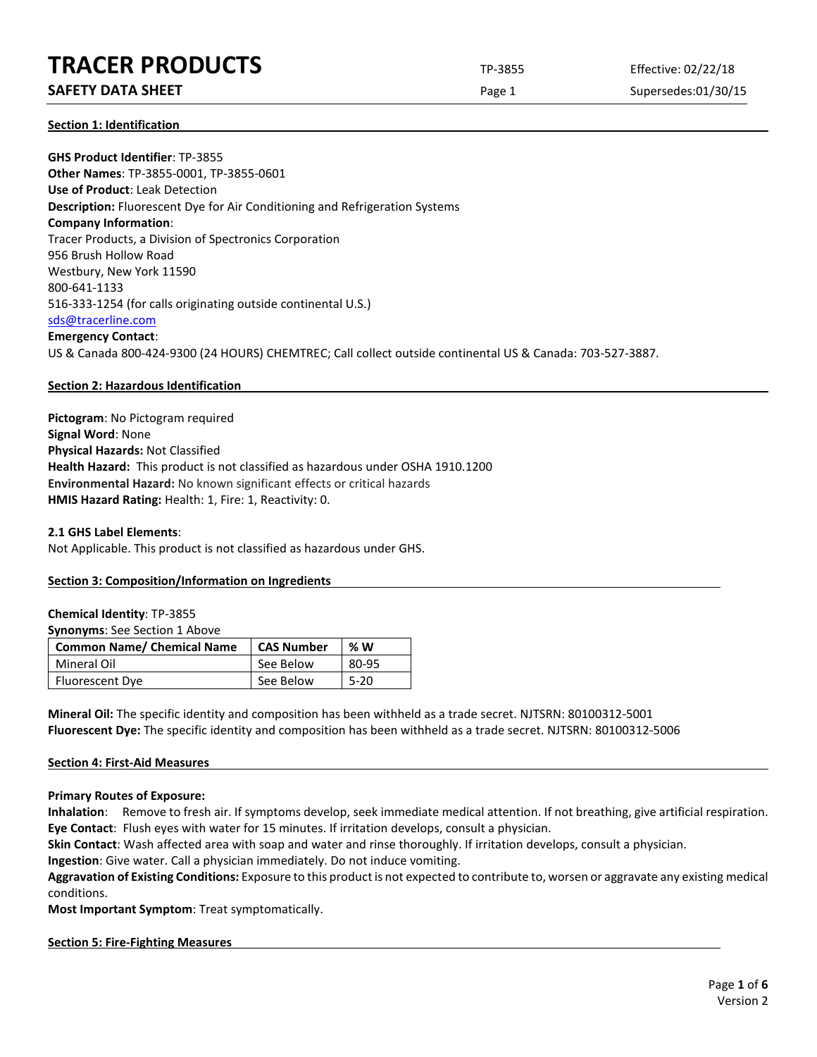# **TRACER PRODUCTS** TP-3855 Effective: 02/22/18

# **SAFETY DATA SHEET** SUPERFOUR CONSUMING THE Page 1 Supersedes:01/30/15

**Section 1: Identification**

**GHS Product Identifier**: TP-3855 **Other Names**: TP-3855-0001, TP-3855-0601 **Use of Product**: Leak Detection **Description:** Fluorescent Dye for Air Conditioning and Refrigeration Systems **Company Information**: Tracer Products, a Division of Spectronics Corporation 956 Brush Hollow Road Westbury, New York 11590 800-641-1133 516-333-1254 (for calls originating outside continental U.S.) [sds@tracerline.com](mailto:sds@tracerline.com) **Emergency Contact**: US & Canada 800-424-9300 (24 HOURS) CHEMTREC; Call collect outside continental US & Canada: 703-527-3887.

# **Section 2: Hazardous Identification**

**Pictogram**: No Pictogram required **Signal Word**: None **Physical Hazards:** Not Classified **Health Hazard:** This product is not classified as hazardous under OSHA 1910.1200 **Environmental Hazard:** No known significant effects or critical hazards **HMIS Hazard Rating:** Health: 1, Fire: 1, Reactivity: 0.

#### **2.1 GHS Label Elements**:

Not Applicable. This product is not classified as hazardous under GHS.

# **Section 3: Composition/Information on Ingredients**

#### **Chemical Identity**: TP-3855

**Synonyms**: See Section 1 Above

| <b>Common Name/ Chemical Name</b> | <b>CAS Number</b> | % W      |
|-----------------------------------|-------------------|----------|
| Mineral Oil                       | See Below         | 80-95    |
| Fluorescent Dye                   | See Below         | $5 - 20$ |

**Mineral Oil:** The specific identity and composition has been withheld as a trade secret. NJTSRN: 80100312-5001 **Fluorescent Dye:** The specific identity and composition has been withheld as a trade secret. NJTSRN: 80100312-5006

# **Section 4: First-Aid Measures**

**Primary Routes of Exposure:**

**Inhalation**: Remove to fresh air. If symptoms develop, seek immediate medical attention. If not breathing, give artificial respiration. **Eye Contact**: Flush eyes with water for 15 minutes. If irritation develops, consult a physician.

**Skin Contact**: Wash affected area with soap and water and rinse thoroughly. If irritation develops, consult a physician.

**Ingestion**: Give water. Call a physician immediately. Do not induce vomiting.

**Aggravation of Existing Conditions:** Exposure to this product is not expected to contribute to, worsen or aggravate any existing medical conditions.

**Most Important Symptom**: Treat symptomatically.

#### **Section 5: Fire-Fighting Measures**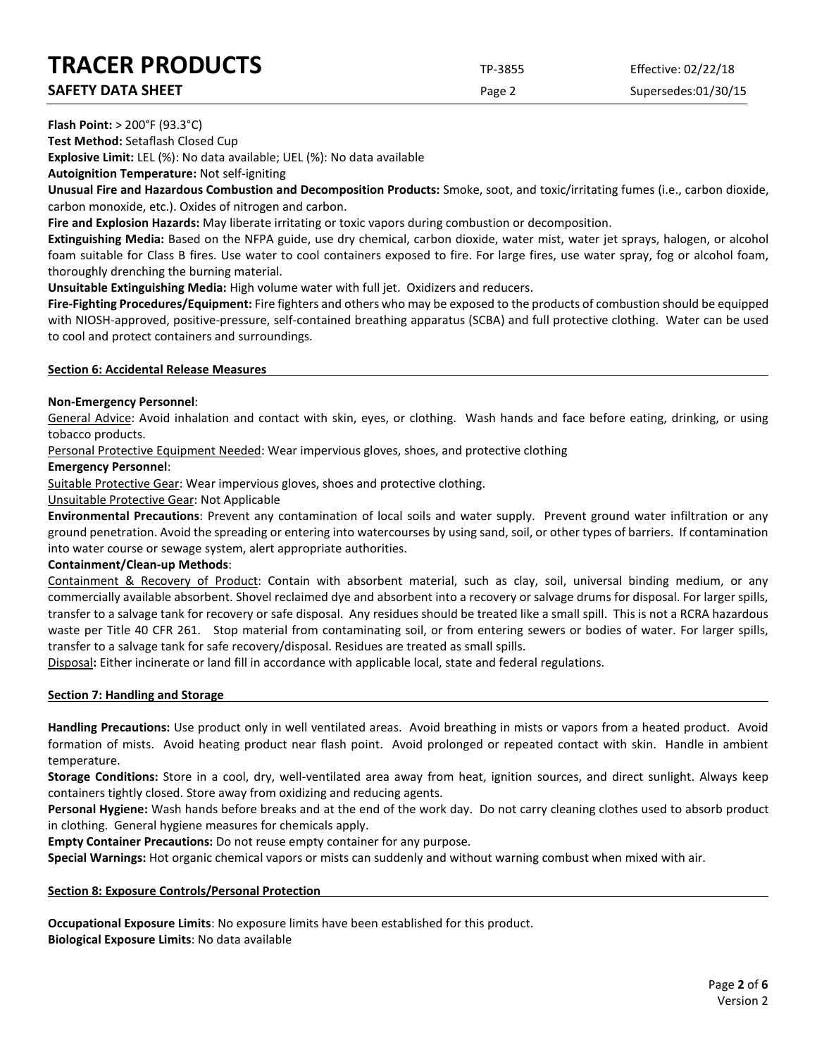# **TRACER PRODUCTS** TP-3855 Effective: 02/22/18

**SAFETY DATA SHEET SUPERITY DATA SHEET Page 2** Supersedes:01/30/15

**Flash Point:** > 200°F (93.3°C)

**Test Method:** Setaflash Closed Cup

**Explosive Limit:** LEL (%): No data available; UEL (%): No data available

**Autoignition Temperature:** Not self-igniting

**Unusual Fire and Hazardous Combustion and Decomposition Products:** Smoke, soot, and toxic/irritating fumes (i.e., carbon dioxide, carbon monoxide, etc.). Oxides of nitrogen and carbon.

**Fire and Explosion Hazards:** May liberate irritating or toxic vapors during combustion or decomposition.

**Extinguishing Media:** Based on the NFPA guide, use dry chemical, carbon dioxide, water mist, water jet sprays, halogen, or alcohol foam suitable for Class B fires. Use water to cool containers exposed to fire. For large fires, use water spray, fog or alcohol foam, thoroughly drenching the burning material.

**Unsuitable Extinguishing Media:** High volume water with full jet. Oxidizers and reducers.

**Fire-Fighting Procedures/Equipment:** Fire fighters and others who may be exposed to the products of combustion should be equipped with NIOSH-approved, positive-pressure, self-contained breathing apparatus (SCBA) and full protective clothing. Water can be used to cool and protect containers and surroundings.

#### **Section 6: Accidental Release Measures**

# **Non-Emergency Personnel**:

General Advice: Avoid inhalation and contact with skin, eyes, or clothing. Wash hands and face before eating, drinking, or using tobacco products.

Personal Protective Equipment Needed: Wear impervious gloves, shoes, and protective clothing

# **Emergency Personnel**:

Suitable Protective Gear: Wear impervious gloves, shoes and protective clothing.

Unsuitable Protective Gear: Not Applicable

**Environmental Precautions**: Prevent any contamination of local soils and water supply. Prevent ground water infiltration or any ground penetration. Avoid the spreading or entering into watercourses by using sand, soil, or other types of barriers. If contamination into water course or sewage system, alert appropriate authorities.

# **Containment/Clean-up Methods**:

Containment & Recovery of Product: Contain with absorbent material, such as clay, soil, universal binding medium, or any commercially available absorbent. Shovel reclaimed dye and absorbent into a recovery or salvage drums for disposal. For larger spills, transfer to a salvage tank for recovery or safe disposal. Any residues should be treated like a small spill. This is not a RCRA hazardous waste per Title 40 CFR 261. Stop material from contaminating soil, or from entering sewers or bodies of water. For larger spills, transfer to a salvage tank for safe recovery/disposal. Residues are treated as small spills.

Disposal**:** Either incinerate or land fill in accordance with applicable local, state and federal regulations.

# **Section 7: Handling and Storage**

**Handling Precautions:** Use product only in well ventilated areas. Avoid breathing in mists or vapors from a heated product. Avoid formation of mists. Avoid heating product near flash point. Avoid prolonged or repeated contact with skin. Handle in ambient temperature.

**Storage Conditions:** Store in a cool, dry, well-ventilated area away from heat, ignition sources, and direct sunlight. Always keep containers tightly closed. Store away from oxidizing and reducing agents.

**Personal Hygiene:** Wash hands before breaks and at the end of the work day. Do not carry cleaning clothes used to absorb product in clothing. General hygiene measures for chemicals apply.

**Empty Container Precautions:** Do not reuse empty container for any purpose.

**Special Warnings:** Hot organic chemical vapors or mists can suddenly and without warning combust when mixed with air.

# **Section 8: Exposure Controls/Personal Protection**

**Occupational Exposure Limits**: No exposure limits have been established for this product. **Biological Exposure Limits**: No data available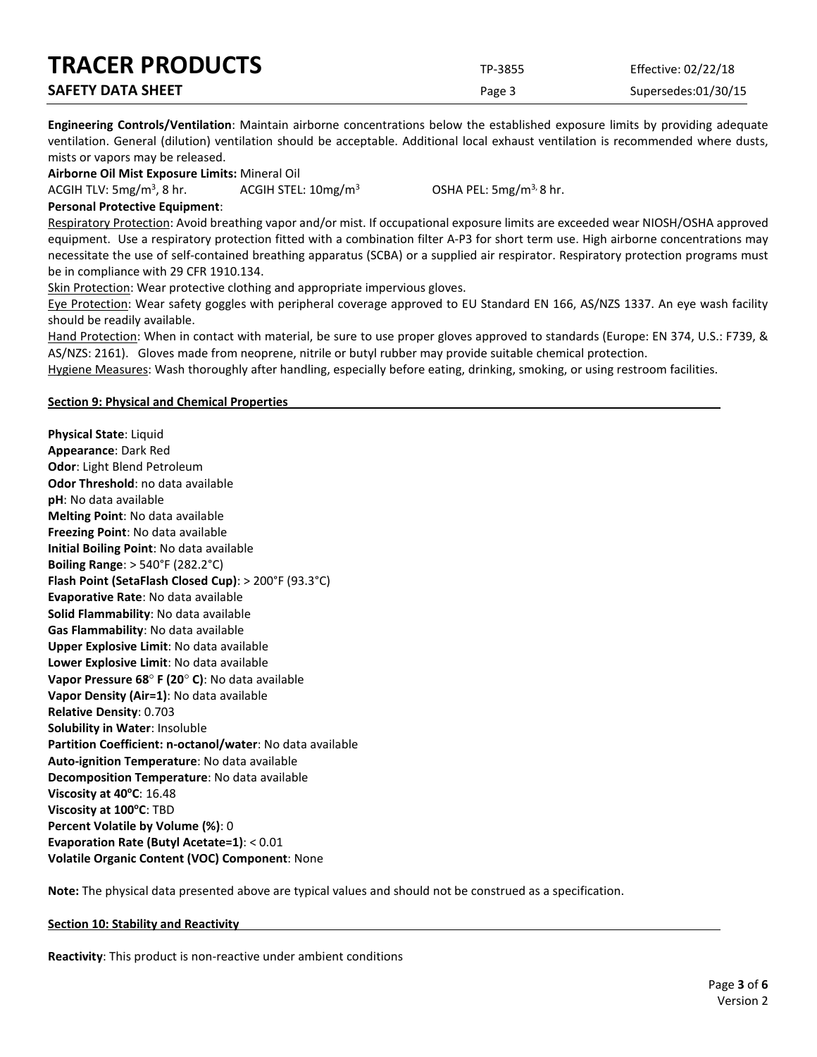| <b>TRACER PRODUCTS</b>   | TP-3855 | Effective: 02/22/18 |
|--------------------------|---------|---------------------|
| <b>SAFETY DATA SHEET</b> | Page 3  | Supersedes:01/30/15 |

**Engineering Controls/Ventilation**: Maintain airborne concentrations below the established exposure limits by providing adequate ventilation. General (dilution) ventilation should be acceptable. Additional local exhaust ventilation is recommended where dusts, mists or vapors may be released.

**Airborne Oil Mist Exposure Limits:** Mineral Oil

ACGIH TLV:  $5mg/m<sup>3</sup>$ , 8 hr.

ACGIH STEL:  $10 \text{mg/m}^3$  OSHA PEL:  $5 \text{mg/m}^3$ , 8 hr.

**Personal Protective Equipment**:

Respiratory Protection: Avoid breathing vapor and/or mist. If occupational exposure limits are exceeded wear NIOSH/OSHA approved equipment. Use a respiratory protection fitted with a combination filter A-P3 for short term use. High airborne concentrations may necessitate the use of self-contained breathing apparatus (SCBA) or a supplied air respirator. Respiratory protection programs must be in compliance with 29 CFR 1910.134.

Skin Protection: Wear protective clothing and appropriate impervious gloves.

Eye Protection: Wear safety goggles with peripheral coverage approved to EU Standard EN 166, AS/NZS 1337. An eye wash facility should be readily available.

Hand Protection: When in contact with material, be sure to use proper gloves approved to standards (Europe: EN 374, U.S.: F739, & AS/NZS: 2161). Gloves made from neoprene, nitrile or butyl rubber may provide suitable chemical protection.

Hygiene Measures: Wash thoroughly after handling, especially before eating, drinking, smoking, or using restroom facilities.

#### **Section 9: Physical and Chemical Properties**

**Physical State**: Liquid **Appearance**: Dark Red **Odor**: Light Blend Petroleum **Odor Threshold**: no data available **pH**: No data available **Melting Point**: No data available **Freezing Point**: No data available **Initial Boiling Point**: No data available **Boiling Range**: > 540°F (282.2°C) **Flash Point (SetaFlash Closed Cup)**: > 200°F (93.3°C) **Evaporative Rate**: No data available **Solid Flammability**: No data available **Gas Flammability**: No data available **Upper Explosive Limit**: No data available **Lower Explosive Limit**: No data available **Vapor Pressure 68**° **F (20**° **C)**: No data available **Vapor Density (Air=1)**: No data available **Relative Density**: 0.703 **Solubility in Water**: Insoluble **Partition Coefficient: n-octanol/water**: No data available **Auto-ignition Temperature**: No data available **Decomposition Temperature**: No data available **Viscosity at 40°C**: 16.48 **Viscosity at 100°C: TBD Percent Volatile by Volume (%)**: 0 **Evaporation Rate (Butyl Acetate=1)**: < 0.01 **Volatile Organic Content (VOC) Component**: None

**Note:** The physical data presented above are typical values and should not be construed as a specification.

#### **Section 10: Stability and Reactivity**

**Reactivity**: This product is non-reactive under ambient conditions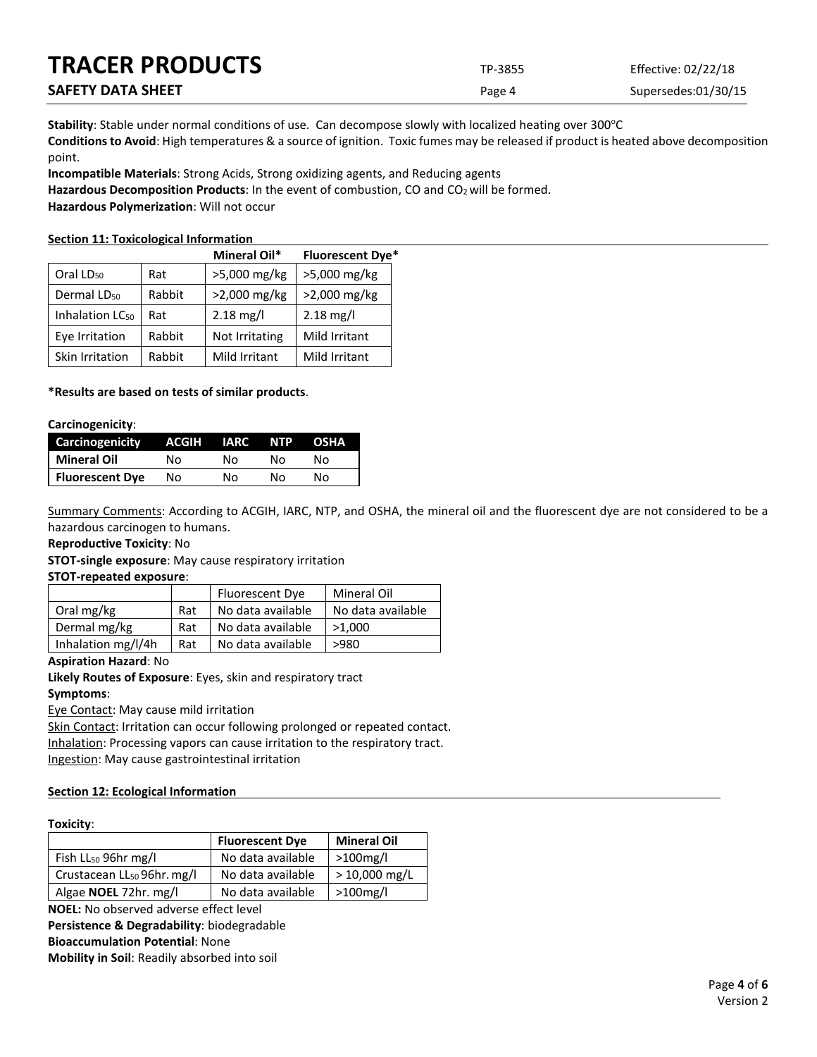| <b>TRACER PRODUCTS</b>   | TP-3855 | Effective: 02/22/18 |
|--------------------------|---------|---------------------|
| <b>SAFETY DATA SHEET</b> | Page 4  | Supersedes:01/30/15 |

Stability: Stable under normal conditions of use. Can decompose slowly with localized heating over 300°C **Conditions to Avoid**: High temperatures & a source of ignition. Toxic fumes may be released if product is heated above decomposition point.

**Incompatible Materials**: Strong Acids, Strong oxidizing agents, and Reducing agents

Hazardous Decomposition Products: In the event of combustion, CO and CO<sub>2</sub> will be formed.

**Hazardous Polymerization**: Will not occur

# **Section 11: Toxicological Information**

|                             |        | Mineral Oil*        | <b>Fluorescent Dye*</b> |
|-----------------------------|--------|---------------------|-------------------------|
| Oral LD <sub>50</sub>       | Rat    | >5,000 mg/kg        | >5,000 mg/kg            |
| Dermal LD <sub>50</sub>     | Rabbit | >2,000 mg/kg        | >2,000 mg/kg            |
| Inhalation LC <sub>50</sub> | Rat    | $2.18 \text{ mg/l}$ | $2.18 \text{ mg/l}$     |
| Eye Irritation              | Rabbit | Not Irritating      | Mild Irritant           |
| Skin Irritation             | Rabbit | Mild Irritant       | Mild Irritant           |

# **\*Results are based on tests of similar products**.

#### **Carcinogenicity**:

| <b>Carcinogenicity</b> | ACGIH | IARC | NTP | <b>OSHA</b> |
|------------------------|-------|------|-----|-------------|
| <b>Mineral Oil</b>     | No.   | N٥   | N٥  | N٥          |
| <b>Fluorescent Dye</b> | Nο    | N٥   | N٥  | N٥          |

Summary Comments: According to ACGIH, IARC, NTP, and OSHA, the mineral oil and the fluorescent dye are not considered to be a hazardous carcinogen to humans.

# **Reproductive Toxicity**: No

**STOT-single exposure**: May cause respiratory irritation

# **STOT-repeated exposure**:

|                    |     | <b>Fluorescent Dye</b> | Mineral Oil       |
|--------------------|-----|------------------------|-------------------|
| Oral mg/kg         | Rat | No data available      | No data available |
| Dermal mg/kg       | Rat | No data available      | >1.000            |
| Inhalation mg/l/4h | Rat | No data available      | >980              |

# **Aspiration Hazard**: No

**Likely Routes of Exposure**: Eyes, skin and respiratory tract **Symptoms**:

Eye Contact: May cause mild irritation

Skin Contact: Irritation can occur following prolonged or repeated contact. Inhalation: Processing vapors can cause irritation to the respiratory tract. Ingestion: May cause gastrointestinal irritation

# **Section 12: Ecological Information**

#### **Toxicity**:

|                                        | <b>Fluorescent Dye</b> | <b>Mineral Oil</b> |
|----------------------------------------|------------------------|--------------------|
| Fish $LL_{50}$ 96hr mg/l               | No data available      | $>100$ mg/l        |
| Crustacean LL <sub>50</sub> 96hr. mg/l | No data available      | $>10,000$ mg/L     |
| Algae <b>NOEL</b> 72hr. mg/l           | No data available      | $>100$ mg/l        |

**NOEL:** No observed adverse effect level

**Persistence & Degradability**: biodegradable

**Bioaccumulation Potential**: None

**Mobility in Soil**: Readily absorbed into soil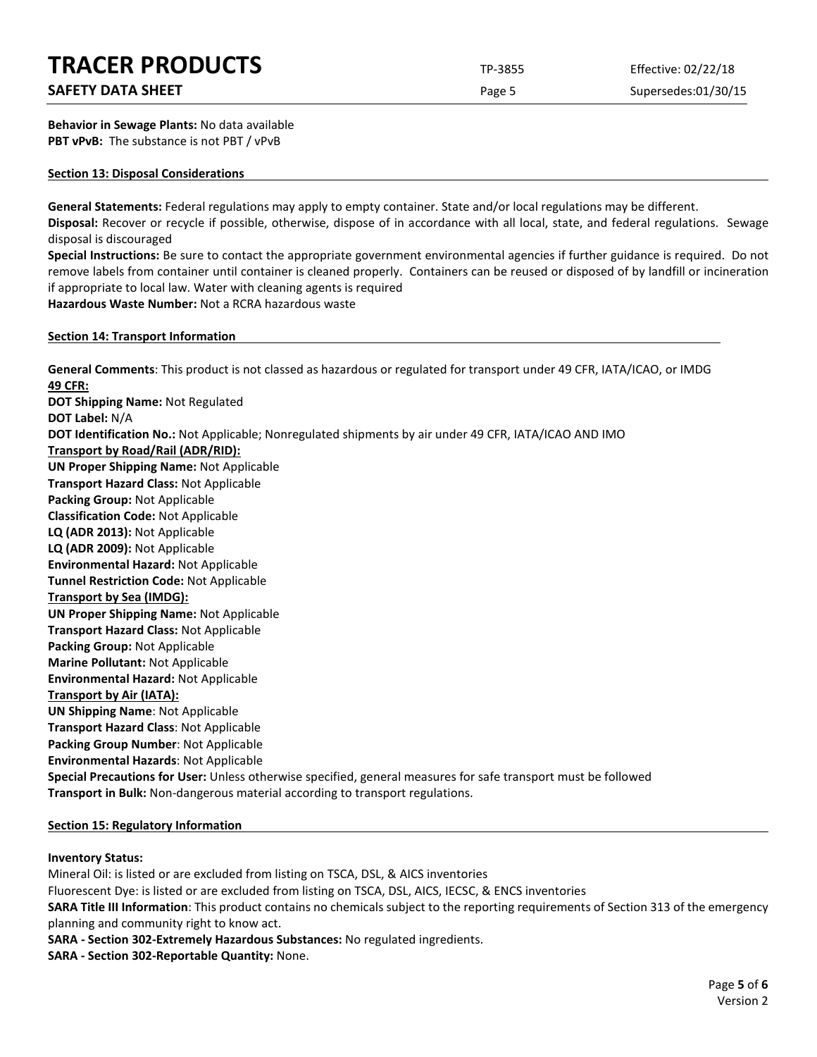# **TRACER PRODUCTS** TP-3855 Effective: 02/22/18

# **SAFETY DATA SHEET SUPERITY DATA SHEET Page 5** Supersedes:01/30/15

**Behavior in Sewage Plants:** No data available **PBT vPvB:** The substance is not PBT / vPvB

#### **Section 13: Disposal Considerations**

**General Statements:** Federal regulations may apply to empty container. State and/or local regulations may be different. **Disposal:** Recover or recycle if possible, otherwise, dispose of in accordance with all local, state, and federal regulations. Sewage disposal is discouraged

**Special Instructions:** Be sure to contact the appropriate government environmental agencies if further guidance is required. Do not remove labels from container until container is cleaned properly. Containers can be reused or disposed of by landfill or incineration if appropriate to local law. Water with cleaning agents is required **Hazardous Waste Number:** Not a RCRA hazardous waste

**Section 14: Transport Information**

**General Comments**: This product is not classed as hazardous or regulated for transport under 49 CFR, IATA/ICAO, or IMDG **49 CFR: DOT Shipping Name:** Not Regulated **DOT Label:** N/A **DOT Identification No.:** Not Applicable; Nonregulated shipments by air under 49 CFR, IATA/ICAO AND IMO **Transport by Road/Rail (ADR/RID): UN Proper Shipping Name:** Not Applicable **Transport Hazard Class:** Not Applicable **Packing Group:** Not Applicable **Classification Code:** Not Applicable **LQ (ADR 2013):** Not Applicable **LQ (ADR 2009):** Not Applicable **Environmental Hazard:** Not Applicable **Tunnel Restriction Code:** Not Applicable **Transport by Sea (IMDG): UN Proper Shipping Name:** Not Applicable **Transport Hazard Class:** Not Applicable **Packing Group:** Not Applicable **Marine Pollutant:** Not Applicable **Environmental Hazard:** Not Applicable **Transport by Air (IATA): UN Shipping Name**: Not Applicable **Transport Hazard Class**: Not Applicable **Packing Group Number**: Not Applicable **Environmental Hazards**: Not Applicable **Special Precautions for User:** Unless otherwise specified, general measures for safe transport must be followed **Transport in Bulk:** Non-dangerous material according to transport regulations.

# **Section 15: Regulatory Information**

# **Inventory Status:**

Mineral Oil: is listed or are excluded from listing on TSCA, DSL, & AICS inventories Fluorescent Dye: is listed or are excluded from listing on TSCA, DSL, AICS, IECSC, & ENCS inventories **SARA Title III Information**: This product contains no chemicals subject to the reporting requirements of Section 313 of the emergency planning and community right to know act. **SARA - Section 302-Extremely Hazardous Substances:** No regulated ingredients. **SARA - Section 302-Reportable Quantity:** None.